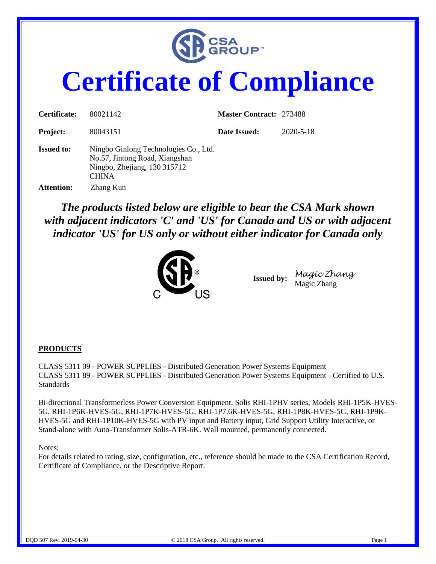

# **Certificate of Compliance**

| Certificate:      | 80021142                                                                                                                | <b>Master Contract: 273488</b> |           |
|-------------------|-------------------------------------------------------------------------------------------------------------------------|--------------------------------|-----------|
| <b>Project:</b>   | 80043151                                                                                                                | Date Issued:                   | 2020-5-18 |
| <b>Issued to:</b> | Ningbo Ginlong Technologies Co., Ltd.<br>No.57, Jintong Road, Xiangshan<br>Ningbo, Zhejiang, 130 315712<br><b>CHINA</b> |                                |           |
| <b>Attention:</b> | Zhang Kun                                                                                                               |                                |           |

*The products listed below are eligible to bear the CSA Mark shown with adjacent indicators 'C' and 'US' for Canada and US or with adjacent indicator 'US' for US only or without either indicator for Canada only* 



**Issued by:** *Magic Zhang*  Magic Zhang

#### **PRODUCTS**

CLASS 5311 09 - POWER SUPPLIES - Distributed Generation Power Systems Equipment CLASS 5311 89 - POWER SUPPLIES - Distributed Generation Power Systems Equipment - Certified to U.S. Standards

Bi-directional Transformerless Power Conversion Equipment, Solis RHI-1PHV series, Models RHI-1P5K-HVES-5G, RHI-1P6K-HVES-5G, RHI-1P7K-HVES-5G, RHI-1P7.6K-HVES-5G, RHI-1P8K-HVES-5G, RHI-1P9K-HVES-5G and RHI-1P10K-HVES-5G with PV input and Battery input, Grid Support Utility Interactive, or Stand-alone with Auto-Transformer Solis-ATR-6K. Wall mounted, permanently connected.

#### Notes:

For details related to rating, size, configuration, etc., reference should be made to the CSA Certification Record, Certificate of Compliance, or the Descriptive Report.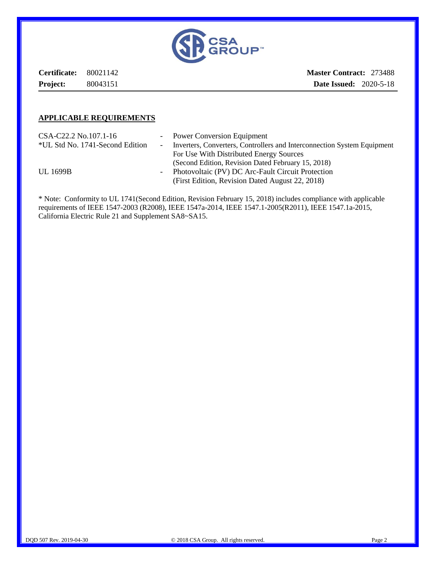

**Certificate:** 80021142 **Project:** 80043151

**Master Contract:** 273488 **Date Issued:** 2020-5-18

#### **APPLICABLE REQUIREMENTS**

| CSA-C22.2 No.107.1-16           |            | - Power Conversion Equipment                                            |
|---------------------------------|------------|-------------------------------------------------------------------------|
| *UL Std No. 1741-Second Edition | $\sim 100$ | Inverters, Converters, Controllers and Interconnection System Equipment |
|                                 |            | For Use With Distributed Energy Sources                                 |
|                                 |            | (Second Edition, Revision Dated February 15, 2018)                      |
| <b>UL 1699B</b>                 |            | - Photovoltaic (PV) DC Arc-Fault Circuit Protection                     |
|                                 |            | (First Edition, Revision Dated August 22, 2018)                         |

\* Note: Conformity to UL 1741(Second Edition, Revision February 15, 2018) includes compliance with applicable requirements of IEEE 1547-2003 (R2008), IEEE 1547a-2014, IEEE 1547.1-2005(R2011), IEEE 1547.1a-2015, California Electric Rule 21 and Supplement SA8~SA15.